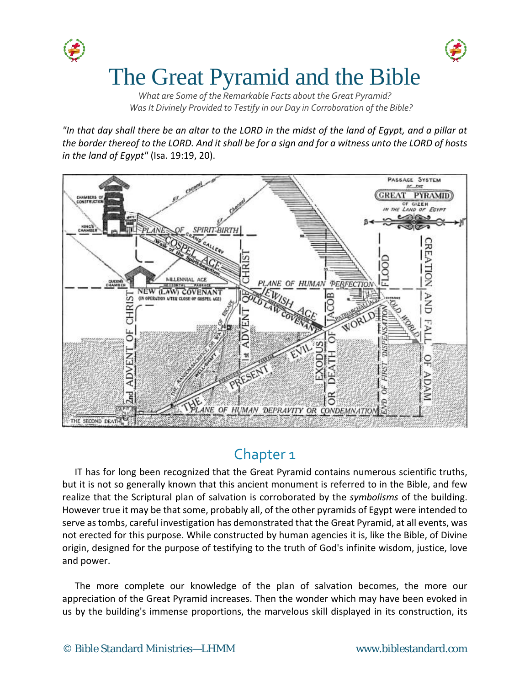

*What are Some of the Remarkable Facts about the Great Pyramid? Was It Divinely Provided to Testify in our Day in Corroboration of the Bible?*

*"In that day shall there be an altar to the LORD in the midst of the land of Egypt, and a pillar at the border thereof to the LORD. And it shall be for a sign and for a witness unto the LORD of hosts in the land of Egypt"* (Isa. 19:19, 20).



# Chapter 1

IT has for long been recognized that the Great Pyramid contains numerous scientific truths, but it is not so generally known that this ancient monument is referred to in the Bible, and few realize that the Scriptural plan of salvation is corroborated by the *symbolisms* of the building. However true it may be that some, probably all, of the other pyramids of Egypt were intended to serve as tombs, careful investigation has demonstrated that the Great Pyramid, at all events, was not erected for this purpose. While constructed by human agencies it is, like the Bible, of Divine origin, designed for the purpose of testifying to the truth of God's infinite wisdom, justice, love and power.

The more complete our knowledge of the plan of salvation becomes, the more our appreciation of the Great Pyramid increases. Then the wonder which may have been evoked in us by the building's immense proportions, the marvelous skill displayed in its construction, its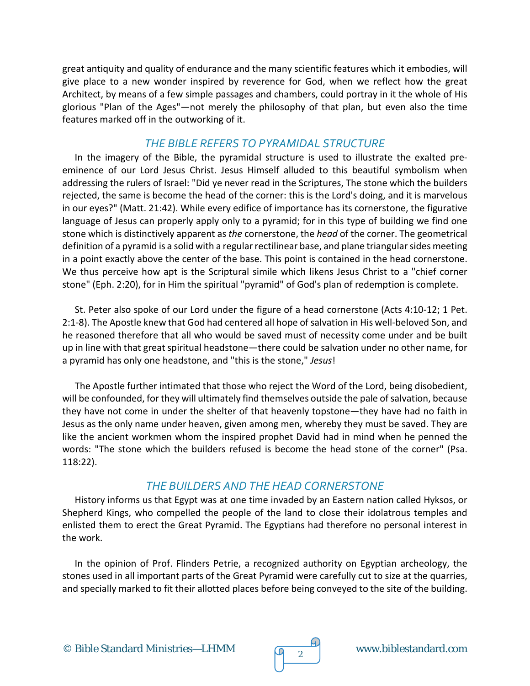great antiquity and quality of endurance and the many scientific features which it embodies, will give place to a new wonder inspired by reverence for God, when we reflect how the great Architect, by means of a few simple passages and chambers, could portray in it the whole of His glorious "Plan of the Ages"—not merely the philosophy of that plan, but even also the time features marked off in the outworking of it.

#### *THE BIBLE REFERS TO PYRAMIDAL STRUCTURE*

In the imagery of the Bible, the pyramidal structure is used to illustrate the exalted preeminence of our Lord Jesus Christ. Jesus Himself alluded to this beautiful symbolism when addressing the rulers of Israel: "Did ye never read in the Scriptures, The stone which the builders rejected, the same is become the head of the corner: this is the Lord's doing, and it is marvelous in our eyes?" (Matt. 21:42). While every edifice of importance has its cornerstone, the figurative language of Jesus can properly apply only to a pyramid; for in this type of building we find one stone which is distinctively apparent as *the* cornerstone, the *head* of the corner. The geometrical definition of a pyramid is a solid with a regular rectilinear base, and plane triangular sides meeting in a point exactly above the center of the base. This point is contained in the head cornerstone. We thus perceive how apt is the Scriptural simile which likens Jesus Christ to a "chief corner stone" (Eph. 2:20), for in Him the spiritual "pyramid" of God's plan of redemption is complete.

St. Peter also spoke of our Lord under the figure of a head cornerstone (Acts 4:10-12; 1 Pet. 2:1-8). The Apostle knew that God had centered all hope of salvation in His well-beloved Son, and he reasoned therefore that all who would be saved must of necessity come under and be built up in line with that great spiritual headstone—there could be salvation under no other name, for a pyramid has only one headstone, and "this is the stone," *Jesus*!

The Apostle further intimated that those who reject the Word of the Lord, being disobedient, will be confounded, for they will ultimately find themselves outside the pale of salvation, because they have not come in under the shelter of that heavenly topstone—they have had no faith in Jesus as the only name under heaven, given among men, whereby they must be saved. They are like the ancient workmen whom the inspired prophet David had in mind when he penned the words: "The stone which the builders refused is become the head stone of the corner" (Psa. 118:22).

#### *THE BUILDERS AND THE HEAD CORNERSTONE*

History informs us that Egypt was at one time invaded by an Eastern nation called Hyksos, or Shepherd Kings, who compelled the people of the land to close their idolatrous temples and enlisted them to erect the Great Pyramid. The Egyptians had therefore no personal interest in the work.

In the opinion of Prof. Flinders Petrie, a recognized authority on Egyptian archeology, the stones used in all important parts of the Great Pyramid were carefully cut to size at the quarries, and specially marked to fit their allotted places before being conveyed to the site of the building.

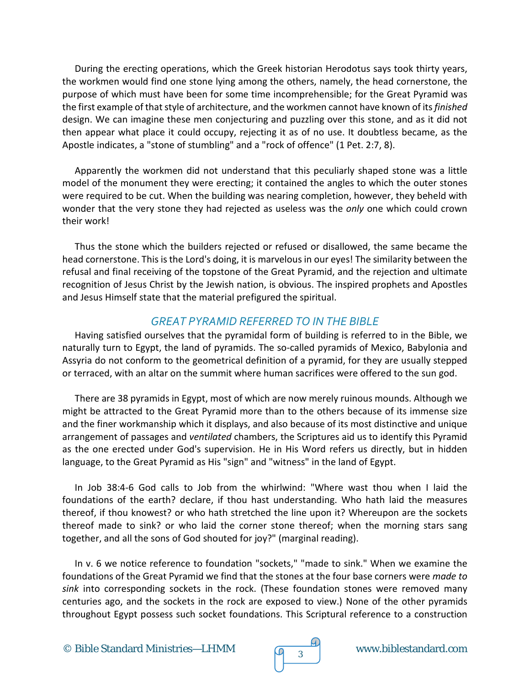During the erecting operations, which the Greek historian Herodotus says took thirty years, the workmen would find one stone lying among the others, namely, the head cornerstone, the purpose of which must have been for some time incomprehensible; for the Great Pyramid was the first example of that style of architecture, and the workmen cannot have known of its *finished*  design. We can imagine these men conjecturing and puzzling over this stone, and as it did not then appear what place it could occupy, rejecting it as of no use. It doubtless became, as the Apostle indicates, a "stone of stumbling" and a "rock of offence" (1 Pet. 2:7, 8).

Apparently the workmen did not understand that this peculiarly shaped stone was a little model of the monument they were erecting; it contained the angles to which the outer stones were required to be cut. When the building was nearing completion, however, they beheld with wonder that the very stone they had rejected as useless was the *only* one which could crown their work!

Thus the stone which the builders rejected or refused or disallowed, the same became the head cornerstone. This is the Lord's doing, it is marvelous in our eyes! The similarity between the refusal and final receiving of the topstone of the Great Pyramid, and the rejection and ultimate recognition of Jesus Christ by the Jewish nation, is obvious. The inspired prophets and Apostles and Jesus Himself state that the material prefigured the spiritual.

### *GREAT PYRAMID REFERRED TO IN THE BIBLE*

Having satisfied ourselves that the pyramidal form of building is referred to in the Bible, we naturally turn to Egypt, the land of pyramids. The so-called pyramids of Mexico, Babylonia and Assyria do not conform to the geometrical definition of a pyramid, for they are usually stepped or terraced, with an altar on the summit where human sacrifices were offered to the sun god.

There are 38 pyramids in Egypt, most of which are now merely ruinous mounds. Although we might be attracted to the Great Pyramid more than to the others because of its immense size and the finer workmanship which it displays, and also because of its most distinctive and unique arrangement of passages and *ventilated* chambers, the Scriptures aid us to identify this Pyramid as the one erected under God's supervision. He in His Word refers us directly, but in hidden language, to the Great Pyramid as His "sign" and "witness" in the land of Egypt.

In Job 38:4-6 God calls to Job from the whirlwind: "Where wast thou when I laid the foundations of the earth? declare, if thou hast understanding. Who hath laid the measures thereof, if thou knowest? or who hath stretched the line upon it? Whereupon are the sockets thereof made to sink? or who laid the corner stone thereof; when the morning stars sang together, and all the sons of God shouted for joy?" (marginal reading).

In v. 6 we notice reference to foundation "sockets," "made to sink." When we examine the foundations of the Great Pyramid we find that the stones at the four base corners were *made to sink* into corresponding sockets in the rock. (These foundation stones were removed many centuries ago, and the sockets in the rock are exposed to view.) None of the other pyramids throughout Egypt possess such socket foundations. This Scriptural reference to a construction

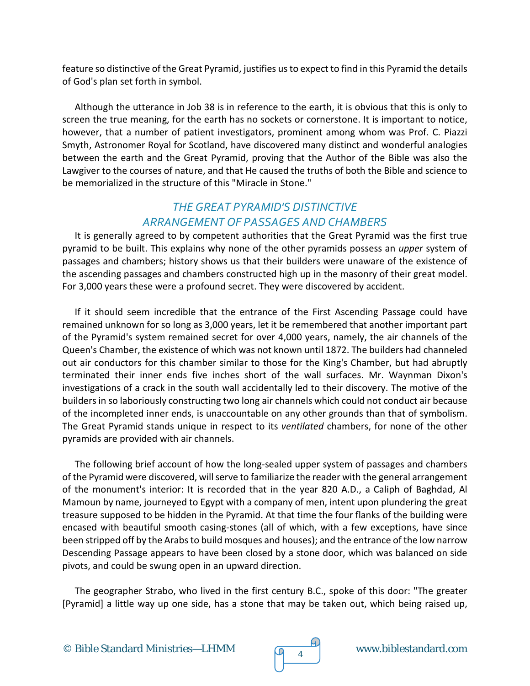feature so distinctive of the Great Pyramid, justifies us to expect to find in this Pyramid the details of God's plan set forth in symbol.

Although the utterance in Job 38 is in reference to the earth, it is obvious that this is only to screen the true meaning, for the earth has no sockets or cornerstone. It is important to notice, however, that a number of patient investigators, prominent among whom was Prof. C. Piazzi Smyth, Astronomer Royal for Scotland, have discovered many distinct and wonderful analogies between the earth and the Great Pyramid, proving that the Author of the Bible was also the Lawgiver to the courses of nature, and that He caused the truths of both the Bible and science to be memorialized in the structure of this "Miracle in Stone."

## *THE GREAT PYRAMID'S DISTINCTIVE ARRANGEMENT OF PASSAGES AND CHAMBERS*

It is generally agreed to by competent authorities that the Great Pyramid was the first true pyramid to be built. This explains why none of the other pyramids possess an *upper* system of passages and chambers; history shows us that their builders were unaware of the existence of the ascending passages and chambers constructed high up in the masonry of their great model. For 3,000 years these were a profound secret. They were discovered by accident.

If it should seem incredible that the entrance of the First Ascending Passage could have remained unknown for so long as 3,000 years, let it be remembered that another important part of the Pyramid's system remained secret for over 4,000 years, namely, the air channels of the Queen's Chamber, the existence of which was not known until 1872. The builders had channeled out air conductors for this chamber similar to those for the King's Chamber, but had abruptly terminated their inner ends five inches short of the wall surfaces. Mr. Waynman Dixon's investigations of a crack in the south wall accidentally led to their discovery. The motive of the builders in so laboriously constructing two long air channels which could not conduct air because of the incompleted inner ends, is unaccountable on any other grounds than that of symbolism. The Great Pyramid stands unique in respect to its *ventilated* chambers, for none of the other pyramids are provided with air channels.

The following brief account of how the long-sealed upper system of passages and chambers of the Pyramid were discovered, will serve to familiarize the reader with the general arrangement of the monument's interior: It is recorded that in the year 820 A.D., a Caliph of Baghdad, Al Mamoun by name, journeyed to Egypt with a company of men, intent upon plundering the great treasure supposed to be hidden in the Pyramid. At that time the four flanks of the building were encased with beautiful smooth casing-stones (all of which, with a few exceptions, have since been stripped off by the Arabs to build mosques and houses); and the entrance of the low narrow Descending Passage appears to have been closed by a stone door, which was balanced on side pivots, and could be swung open in an upward direction.

The geographer Strabo, who lived in the first century B.C., spoke of this door: "The greater [Pyramid] a little way up one side, has a stone that may be taken out, which being raised up,



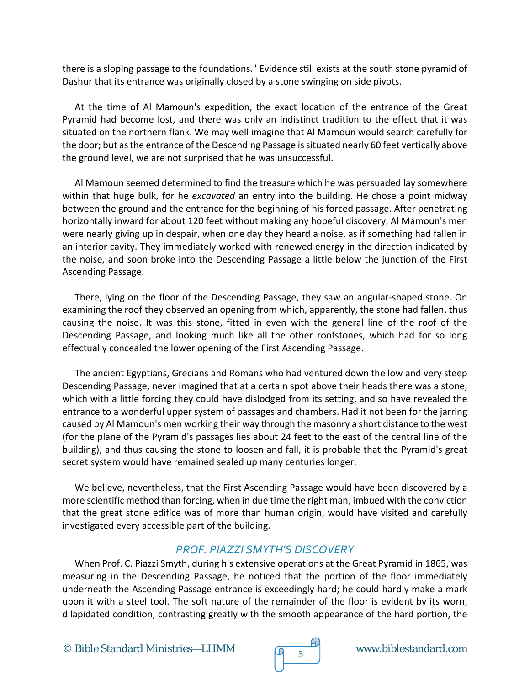there is a sloping passage to the foundations." Evidence still exists at the south stone pyramid of Dashur that its entrance was originally closed by a stone swinging on side pivots.

At the time of Al Mamoun's expedition, the exact location of the entrance of the Great Pyramid had become lost, and there was only an indistinct tradition to the effect that it was situated on the northern flank. We may well imagine that Al Mamoun would search carefully for the door; but as the entrance of the Descending Passage is situated nearly 60 feet vertically above the ground level, we are not surprised that he was unsuccessful.

Al Mamoun seemed determined to find the treasure which he was persuaded lay somewhere within that huge bulk, for he *excavated* an entry into the building. He chose a point midway between the ground and the entrance for the beginning of his forced passage. After penetrating horizontally inward for about 120 feet without making any hopeful discovery, Al Mamoun's men were nearly giving up in despair, when one day they heard a noise, as if something had fallen in an interior cavity. They immediately worked with renewed energy in the direction indicated by the noise, and soon broke into the Descending Passage a little below the junction of the First Ascending Passage.

There, lying on the floor of the Descending Passage, they saw an angular-shaped stone. On examining the roof they observed an opening from which, apparently, the stone had fallen, thus causing the noise. It was this stone, fitted in even with the general line of the roof of the Descending Passage, and looking much like all the other roofstones, which had for so long effectually concealed the lower opening of the First Ascending Passage.

The ancient Egyptians, Grecians and Romans who had ventured down the low and very steep Descending Passage, never imagined that at a certain spot above their heads there was a stone, which with a little forcing they could have dislodged from its setting, and so have revealed the entrance to a wonderful upper system of passages and chambers. Had it not been for the jarring caused by Al Mamoun's men working their way through the masonry a short distance to the west (for the plane of the Pyramid's passages lies about 24 feet to the east of the central line of the building), and thus causing the stone to loosen and fall, it is probable that the Pyramid's great secret system would have remained sealed up many centuries longer.

We believe, nevertheless, that the First Ascending Passage would have been discovered by a more scientific method than forcing, when in due time the right man, imbued with the conviction that the great stone edifice was of more than human origin, would have visited and carefully investigated every accessible part of the building.

### *PROF. PIAZZI SMYTH'S DISCOVERY*

When Prof. C. Piazzi Smyth, during his extensive operations at the Great Pyramid in 1865, was measuring in the Descending Passage, he noticed that the portion of the floor immediately underneath the Ascending Passage entrance is exceedingly hard; he could hardly make a mark upon it with a steel tool. The soft nature of the remainder of the floor is evident by its worn, dilapidated condition, contrasting greatly with the smooth appearance of the hard portion, the

© Bible Standard Ministries—LHMM  $\sqrt{9}$  5

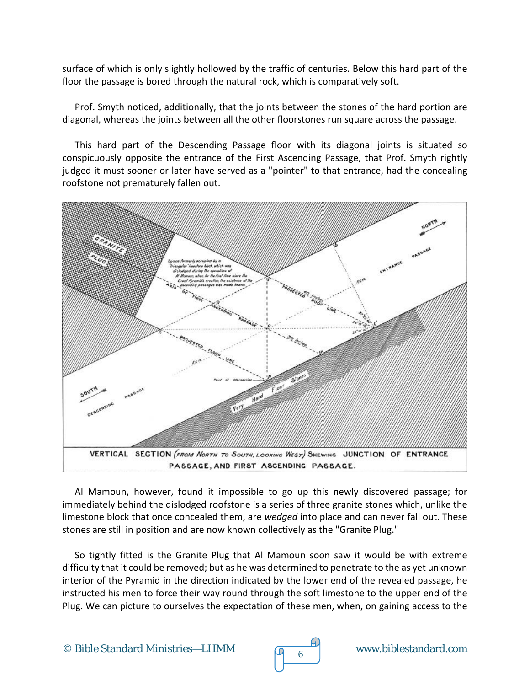surface of which is only slightly hollowed by the traffic of centuries. Below this hard part of the floor the passage is bored through the natural rock, which is comparatively soft.

Prof. Smyth noticed, additionally, that the joints between the stones of the hard portion are diagonal, whereas the joints between all the other floorstones run square across the passage.

This hard part of the Descending Passage floor with its diagonal joints is situated so conspicuously opposite the entrance of the First Ascending Passage, that Prof. Smyth rightly judged it must sooner or later have served as a "pointer" to that entrance, had the concealing roofstone not prematurely fallen out.



Al Mamoun, however, found it impossible to go up this newly discovered passage; for immediately behind the dislodged roofstone is a series of three granite stones which, unlike the limestone block that once concealed them, are *wedged* into place and can never fall out. These stones are still in position and are now known collectively as the "Granite Plug."

So tightly fitted is the Granite Plug that Al Mamoun soon saw it would be with extreme difficulty that it could be removed; but as he was determined to penetrate to the as yet unknown interior of the Pyramid in the direction indicated by the lower end of the revealed passage, he instructed his men to force their way round through the soft limestone to the upper end of the Plug. We can picture to ourselves the expectation of these men, when, on gaining access to the

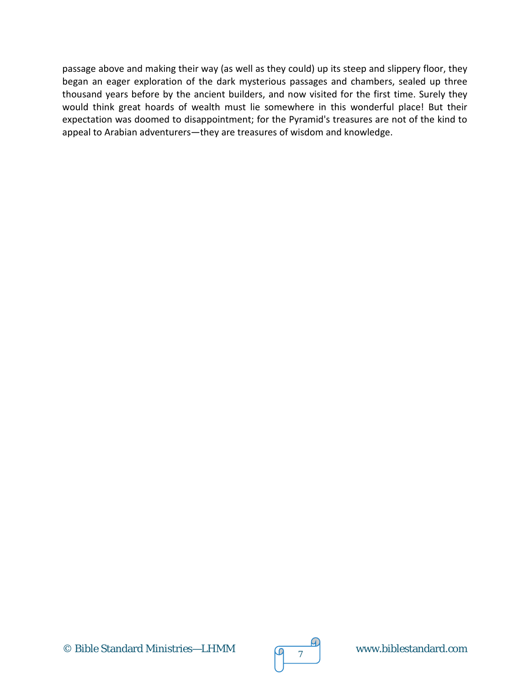passage above and making their way (as well as they could) up its steep and slippery floor, they began an eager exploration of the dark mysterious passages and chambers, sealed up three thousand years before by the ancient builders, and now visited for the first time. Surely they would think great hoards of wealth must lie somewhere in this wonderful place! But their expectation was doomed to disappointment; for the Pyramid's treasures are not of the kind to appeal to Arabian adventurers—they are treasures of wisdom and knowledge.

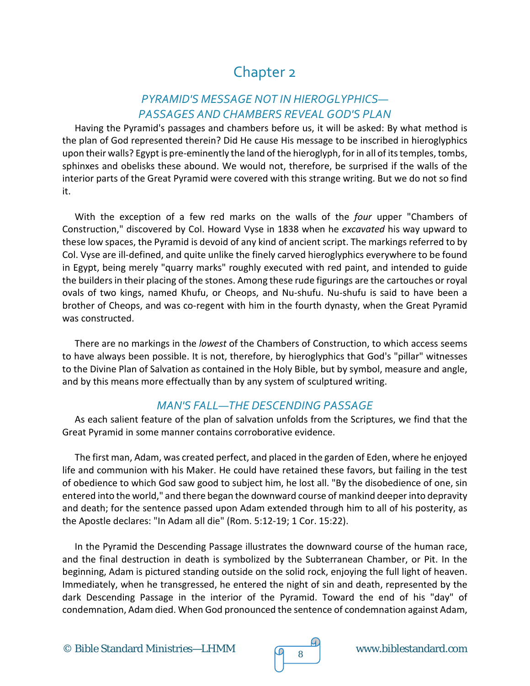# Chapter 2

### *PYRAMID'S MESSAGE NOT IN HIEROGLYPHICS— PASSAGES AND CHAMBERS REVEAL GOD'S PLAN*

Having the Pyramid's passages and chambers before us, it will be asked: By what method is the plan of God represented therein? Did He cause His message to be inscribed in hieroglyphics upon their walls? Egypt is pre-eminently the land of the hieroglyph, for in all of its temples, tombs, sphinxes and obelisks these abound. We would not, therefore, be surprised if the walls of the interior parts of the Great Pyramid were covered with this strange writing. But we do not so find it.

With the exception of a few red marks on the walls of the *four* upper "Chambers of Construction," discovered by Col. Howard Vyse in 1838 when he *excavated* his way upward to these low spaces, the Pyramid is devoid of any kind of ancient script. The markings referred to by Col. Vyse are ill-defined, and quite unlike the finely carved hieroglyphics everywhere to be found in Egypt, being merely "quarry marks" roughly executed with red paint, and intended to guide the builders in their placing of the stones. Among these rude figurings are the cartouches or royal ovals of two kings, named Khufu, or Cheops, and Nu-shufu. Nu-shufu is said to have been a brother of Cheops, and was co-regent with him in the fourth dynasty, when the Great Pyramid was constructed.

There are no markings in the *lowest* of the Chambers of Construction, to which access seems to have always been possible. It is not, therefore, by hieroglyphics that God's "pillar" witnesses to the Divine Plan of Salvation as contained in the Holy Bible, but by symbol, measure and angle, and by this means more effectually than by any system of sculptured writing.

### *MAN'S FALL—THE DESCENDING PASSAGE*

As each salient feature of the plan of salvation unfolds from the Scriptures, we find that the Great Pyramid in some manner contains corroborative evidence.

The first man, Adam, was created perfect, and placed in the garden of Eden, where he enjoyed life and communion with his Maker. He could have retained these favors, but failing in the test of obedience to which God saw good to subject him, he lost all. "By the disobedience of one, sin entered into the world," and there began the downward course of mankind deeper into depravity and death; for the sentence passed upon Adam extended through him to all of his posterity, as the Apostle declares: "In Adam all die" (Rom. 5:12-19; 1 Cor. 15:22).

In the Pyramid the Descending Passage illustrates the downward course of the human race, and the final destruction in death is symbolized by the Subterranean Chamber, or Pit. In the beginning, Adam is pictured standing outside on the solid rock, enjoying the full light of heaven. Immediately, when he transgressed, he entered the night of sin and death, represented by the dark Descending Passage in the interior of the Pyramid. Toward the end of his "day" of condemnation, Adam died. When God pronounced the sentence of condemnation against Adam,

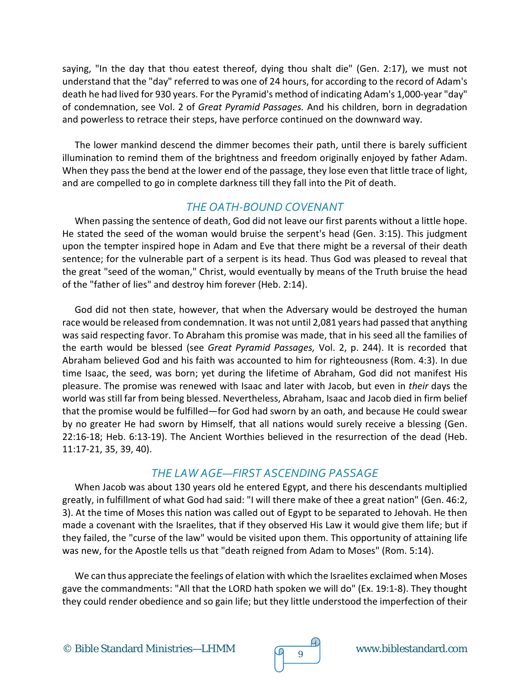saying, "In the day that thou eatest thereof, dying thou shalt die" (Gen. 2:17), we must not understand that the "day" referred to was one of 24 hours, for according to the record of Adam's death he had lived for 930 years. For the Pyramid's method of indicating Adam's 1,000-year "day" of condemnation, see Vol. 2 of *Great Pyramid Passages.* And his children, born in degradation and powerless to retrace their steps, have perforce continued on the downward way.

The lower mankind descend the dimmer becomes their path, until there is barely sufficient illumination to remind them of the brightness and freedom originally enjoyed by father Adam. When they pass the bend at the lower end of the passage, they lose even that little trace of light, and are compelled to go in complete darkness till they fall into the Pit of death.

### *THE OATH-BOUND COVENANT*

When passing the sentence of death, God did not leave our first parents without a little hope. He stated the seed of the woman would bruise the serpent's head (Gen. 3:15). This judgment upon the tempter inspired hope in Adam and Eve that there might be a reversal of their death sentence; for the vulnerable part of a serpent is its head. Thus God was pleased to reveal that the great "seed of the woman," Christ, would eventually by means of the Truth bruise the head of the "father of lies" and destroy him forever (Heb. 2:14).

God did not then state, however, that when the Adversary would be destroyed the human race would be released from condemnation. It was not until 2,081 years had passed that anything was said respecting favor. To Abraham this promise was made, that in his seed all the families of the earth would be blessed (see *Great Pyramid Passages,* Vol. 2, p. 244). It is recorded that Abraham believed God and his faith was accounted to him for righteousness (Rom. 4:3). In due time Isaac, the seed, was born; yet during the lifetime of Abraham, God did not manifest His pleasure. The promise was renewed with Isaac and later with Jacob, but even in *their* days the world was still far from being blessed. Nevertheless, Abraham, Isaac and Jacob died in firm belief that the promise would be fulfilled—for God had sworn by an oath, and because He could swear by no greater He had sworn by Himself, that all nations would surely receive a blessing (Gen. 22:16-18; Heb. 6:13-19). The Ancient Worthies believed in the resurrection of the dead (Heb. 11:17-21, 35, 39, 40).

### *THE LAW AGE—FIRST ASCENDING PASSAGE*

When Jacob was about 130 years old he entered Egypt, and there his descendants multiplied greatly, in fulfillment of what God had said: "I will there make of thee a great nation" (Gen. 46:2, 3). At the time of Moses this nation was called out of Egypt to be separated to Jehovah. He then made a covenant with the Israelites, that if they observed His Law it would give them life; but if they failed, the "curse of the law" would be visited upon them. This opportunity of attaining life was new, for the Apostle tells us that "death reigned from Adam to Moses" (Rom. 5:14).

We can thus appreciate the feelings of elation with which the Israelites exclaimed when Moses gave the commandments: "All that the LORD hath spoken we will do" (Ex. 19:1-8). They thought they could render obedience and so gain life; but they little understood the imperfection of their

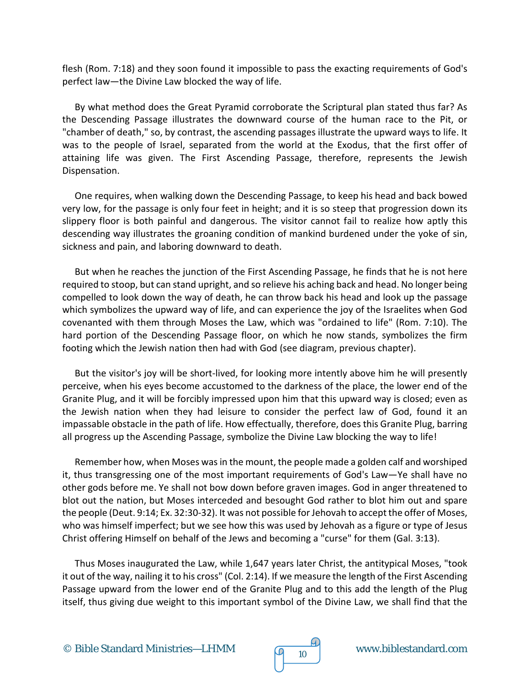flesh (Rom. 7:18) and they soon found it impossible to pass the exacting requirements of God's perfect law—the Divine Law blocked the way of life.

By what method does the Great Pyramid corroborate the Scriptural plan stated thus far? As the Descending Passage illustrates the downward course of the human race to the Pit, or "chamber of death," so, by contrast, the ascending passages illustrate the upward ways to life. It was to the people of Israel, separated from the world at the Exodus, that the first offer of attaining life was given. The First Ascending Passage, therefore, represents the Jewish Dispensation.

One requires, when walking down the Descending Passage, to keep his head and back bowed very low, for the passage is only four feet in height; and it is so steep that progression down its slippery floor is both painful and dangerous. The visitor cannot fail to realize how aptly this descending way illustrates the groaning condition of mankind burdened under the yoke of sin, sickness and pain, and laboring downward to death.

But when he reaches the junction of the First Ascending Passage, he finds that he is not here required to stoop, but can stand upright, and so relieve his aching back and head. No longer being compelled to look down the way of death, he can throw back his head and look up the passage which symbolizes the upward way of life, and can experience the joy of the Israelites when God covenanted with them through Moses the Law, which was "ordained to life" (Rom. 7:10). The hard portion of the Descending Passage floor, on which he now stands, symbolizes the firm footing which the Jewish nation then had with God (see diagram, previous chapter).

But the visitor's joy will be short-lived, for looking more intently above him he will presently perceive, when his eyes become accustomed to the darkness of the place, the lower end of the Granite Plug, and it will be forcibly impressed upon him that this upward way is closed; even as the Jewish nation when they had leisure to consider the perfect law of God, found it an impassable obstacle in the path of life. How effectually, therefore, does this Granite Plug, barring all progress up the Ascending Passage, symbolize the Divine Law blocking the way to life!

Remember how, when Moses was in the mount, the people made a golden calf and worshiped it, thus transgressing one of the most important requirements of God's Law—Ye shall have no other gods before me. Ye shall not bow down before graven images. God in anger threatened to blot out the nation, but Moses interceded and besought God rather to blot him out and spare the people (Deut. 9:14; Ex. 32:30-32). It was not possible for Jehovah to accept the offer of Moses, who was himself imperfect; but we see how this was used by Jehovah as a figure or type of Jesus Christ offering Himself on behalf of the Jews and becoming a "curse" for them (Gal. 3:13).

Thus Moses inaugurated the Law, while 1,647 years later Christ, the antitypical Moses, "took it out of the way, nailing it to his cross" (Col. 2:14). If we measure the length of the First Ascending Passage upward from the lower end of the Granite Plug and to this add the length of the Plug itself, thus giving due weight to this important symbol of the Divine Law, we shall find that the

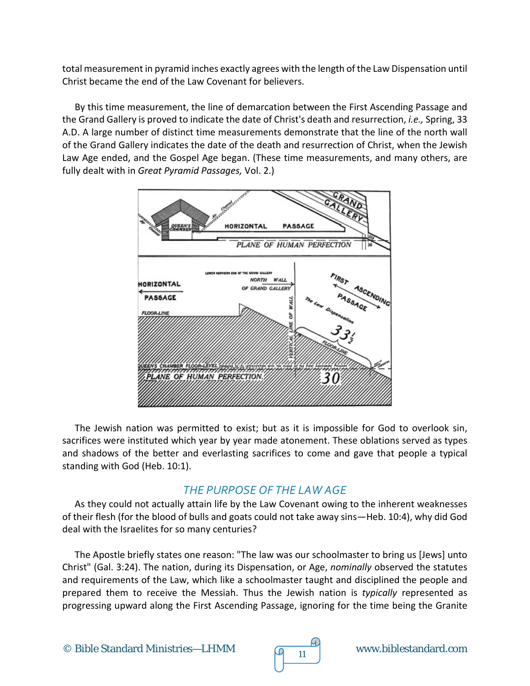total measurement in pyramid inches exactly agrees with the length of the Law Dispensation until Christ became the end of the Law Covenant for believers.

By this time measurement, the line of demarcation between the First Ascending Passage and the Grand Gallery is proved to indicate the date of Christ's death and resurrection, *i.e.,* Spring, 33 A.D. A large number of distinct time measurements demonstrate that the line of the north wall of the Grand Gallery indicates the date of the death and resurrection of Christ, when the Jewish Law Age ended, and the Gospel Age began. (These time measurements, and many others, are fully dealt with in *Great Pyramid Passages,* Vol. 2.)



The Jewish nation was permitted to exist; but as it is impossible for God to overlook sin, sacrifices were instituted which year by year made atonement. These oblations served as types and shadows of the better and everlasting sacrifices to come and gave that people a typical standing with God (Heb. 10:1).

### *THE PURPOSE OF THE LAW AGE*

As they could not actually attain life by the Law Covenant owing to the inherent weaknesses of their flesh (for the blood of bulls and goats could not take away sins—Heb. 10:4), why did God deal with the Israelites for so many centuries?

The Apostle briefly states one reason: "The law was our schoolmaster to bring us [Jews] unto Christ" (Gal. 3:24). The nation, during its Dispensation, or Age, *nominally* observed the statutes and requirements of the Law, which like a schoolmaster taught and disciplined the people and prepared them to receive the Messiah. Thus the Jewish nation is *typically* represented as progressing upward along the First Ascending Passage, ignoring for the time being the Granite

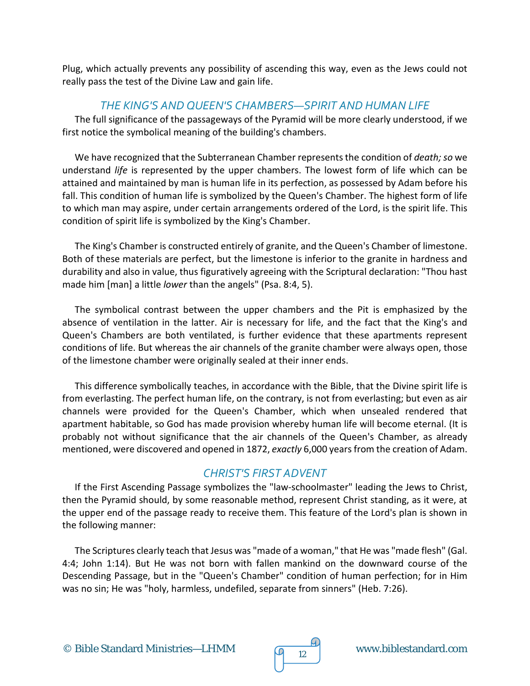Plug, which actually prevents any possibility of ascending this way, even as the Jews could not really pass the test of the Divine Law and gain life.

#### *THE KING'S AND QUEEN'S CHAMBERS—SPIRIT AND HUMAN LIFE*

The full significance of the passageways of the Pyramid will be more clearly understood, if we first notice the symbolical meaning of the building's chambers.

We have recognized that the Subterranean Chamber represents the condition of *death; so* we understand *life* is represented by the upper chambers. The lowest form of life which can be attained and maintained by man is human life in its perfection, as possessed by Adam before his fall. This condition of human life is symbolized by the Queen's Chamber. The highest form of life to which man may aspire, under certain arrangements ordered of the Lord, is the spirit life. This condition of spirit life is symbolized by the King's Chamber.

The King's Chamber is constructed entirely of granite, and the Queen's Chamber of limestone. Both of these materials are perfect, but the limestone is inferior to the granite in hardness and durability and also in value, thus figuratively agreeing with the Scriptural declaration: "Thou hast made him [man] a little *lower* than the angels" (Psa. 8:4, 5).

The symbolical contrast between the upper chambers and the Pit is emphasized by the absence of ventilation in the latter. Air is necessary for life, and the fact that the King's and Queen's Chambers are both ventilated, is further evidence that these apartments represent conditions of life. But whereas the air channels of the granite chamber were always open, those of the limestone chamber were originally sealed at their inner ends.

This difference symbolically teaches, in accordance with the Bible, that the Divine spirit life is from everlasting. The perfect human life, on the contrary, is not from everlasting; but even as air channels were provided for the Queen's Chamber, which when unsealed rendered that apartment habitable, so God has made provision whereby human life will become eternal. (It is probably not without significance that the air channels of the Queen's Chamber, as already mentioned, were discovered and opened in 1872, *exactly* 6,000 years from the creation of Adam.

#### *CHRIST'S FIRST ADVENT*

If the First Ascending Passage symbolizes the "law-schoolmaster" leading the Jews to Christ, then the Pyramid should, by some reasonable method, represent Christ standing, as it were, at the upper end of the passage ready to receive them. This feature of the Lord's plan is shown in the following manner:

The Scriptures clearly teach that Jesus was "made of a woman," that He was "made flesh" (Gal. 4:4; John 1:14). But He was not born with fallen mankind on the downward course of the Descending Passage, but in the "Queen's Chamber" condition of human perfection; for in Him was no sin; He was "holy, harmless, undefiled, separate from sinners" (Heb. 7:26).

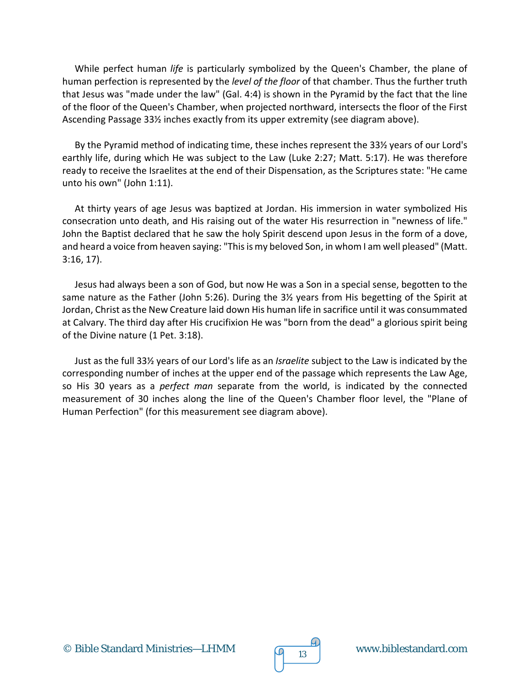While perfect human *life* is particularly symbolized by the Queen's Chamber, the plane of human perfection is represented by the *level of the floor* of that chamber. Thus the further truth that Jesus was "made under the law" (Gal. 4:4) is shown in the Pyramid by the fact that the line of the floor of the Queen's Chamber, when projected northward, intersects the floor of the First Ascending Passage 33½ inches exactly from its upper extremity (see diagram above).

By the Pyramid method of indicating time, these inches represent the 33½ years of our Lord's earthly life, during which He was subject to the Law (Luke 2:27; Matt. 5:17). He was therefore ready to receive the Israelites at the end of their Dispensation, as the Scriptures state: "He came unto his own" (John 1:11).

At thirty years of age Jesus was baptized at Jordan. His immersion in water symbolized His consecration unto death, and His raising out of the water His resurrection in "newness of life." John the Baptist declared that he saw the holy Spirit descend upon Jesus in the form of a dove, and heard a voice from heaven saying: "This is my beloved Son, in whom I am well pleased" (Matt. 3:16, 17).

Jesus had always been a son of God, but now He was a Son in a special sense, begotten to the same nature as the Father (John 5:26). During the 3½ years from His begetting of the Spirit at Jordan, Christ as the New Creature laid down His human life in sacrifice until it was consummated at Calvary. The third day after His crucifixion He was "born from the dead" a glorious spirit being of the Divine nature (1 Pet. 3:18).

Just as the full 33½ years of our Lord's life as an *Israelite* subject to the Law is indicated by the corresponding number of inches at the upper end of the passage which represents the Law Age, so His 30 years as a *perfect man* separate from the world, is indicated by the connected measurement of 30 inches along the line of the Queen's Chamber floor level, the "Plane of Human Perfection" (for this measurement see diagram above).



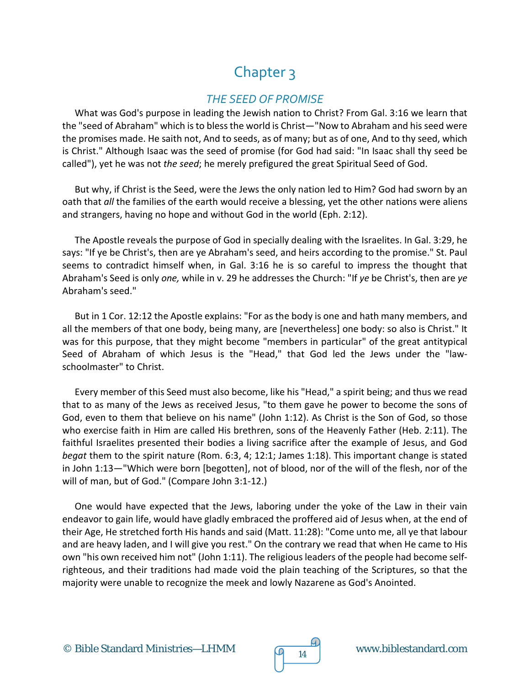# Chapter 3

#### *THE SEED OF PROMISE*

What was God's purpose in leading the Jewish nation to Christ? From Gal. 3:16 we learn that the "seed of Abraham" which is to bless the world is Christ—"Now to Abraham and his seed were the promises made. He saith not, And to seeds, as of many; but as of one, And to thy seed, which is Christ." Although Isaac was the seed of promise (for God had said: "In Isaac shall thy seed be called"), yet he was not *the seed*; he merely prefigured the great Spiritual Seed of God.

But why, if Christ is the Seed, were the Jews the only nation led to Him? God had sworn by an oath that *all* the families of the earth would receive a blessing, yet the other nations were aliens and strangers, having no hope and without God in the world (Eph. 2:12).

The Apostle reveals the purpose of God in specially dealing with the Israelites. In Gal. 3:29, he says: "If ye be Christ's, then are ye Abraham's seed, and heirs according to the promise." St. Paul seems to contradict himself when, in Gal. 3:16 he is so careful to impress the thought that Abraham's Seed is only *one,* while in v. 29 he addresses the Church: "If *ye* be Christ's, then are *ye*  Abraham's seed."

But in 1 Cor. 12:12 the Apostle explains: "For as the body is one and hath many members, and all the members of that one body, being many, are [nevertheless] one body: so also is Christ." It was for this purpose, that they might become "members in particular" of the great antitypical Seed of Abraham of which Jesus is the "Head," that God led the Jews under the "lawschoolmaster" to Christ.

Every member of this Seed must also become, like his "Head," a spirit being; and thus we read that to as many of the Jews as received Jesus, "to them gave he power to become the sons of God, even to them that believe on his name" (John 1:12). As Christ is the Son of God, so those who exercise faith in Him are called His brethren, sons of the Heavenly Father (Heb. 2:11). The faithful Israelites presented their bodies a living sacrifice after the example of Jesus, and God *begat* them to the spirit nature (Rom. 6:3, 4; 12:1; James 1:18). This important change is stated in John 1:13—"Which were born [begotten], not of blood, nor of the will of the flesh, nor of the will of man, but of God." (Compare John 3:1-12.)

One would have expected that the Jews, laboring under the yoke of the Law in their vain endeavor to gain life, would have gladly embraced the proffered aid of Jesus when, at the end of their Age, He stretched forth His hands and said (Matt. 11:28): "Come unto me, all ye that labour and are heavy laden, and I will give you rest." On the contrary we read that when He came to His own "his own received him not" (John 1:11). The religious leaders of the people had become selfrighteous, and their traditions had made void the plain teaching of the Scriptures, so that the majority were unable to recognize the meek and lowly Nazarene as God's Anointed.

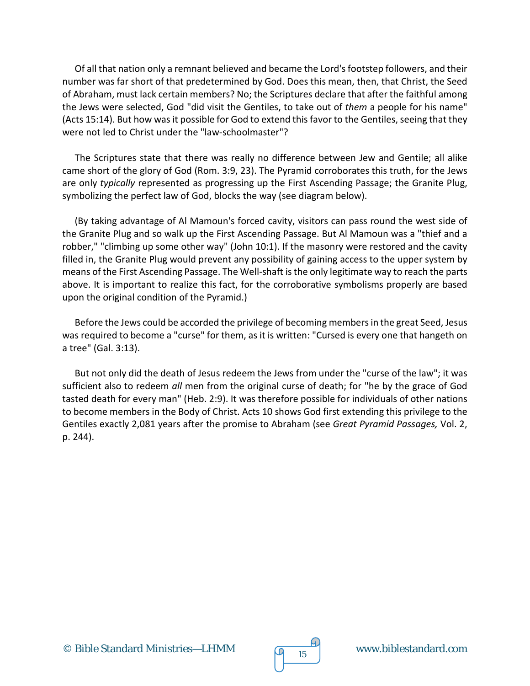Of all that nation only a remnant believed and became the Lord's footstep followers, and their number was far short of that predetermined by God. Does this mean, then, that Christ, the Seed of Abraham, must lack certain members? No; the Scriptures declare that after the faithful among the Jews were selected, God "did visit the Gentiles, to take out of *them* a people for his name" (Acts 15:14). But how was it possible for God to extend this favor to the Gentiles, seeing that they were not led to Christ under the "law-schoolmaster"?

The Scriptures state that there was really no difference between Jew and Gentile; all alike came short of the glory of God (Rom. 3:9, 23). The Pyramid corroborates this truth, for the Jews are only *typically* represented as progressing up the First Ascending Passage; the Granite Plug, symbolizing the perfect law of God, blocks the way (see diagram below).

(By taking advantage of Al Mamoun's forced cavity, visitors can pass round the west side of the Granite Plug and so walk up the First Ascending Passage. But Al Mamoun was a "thief and a robber," "climbing up some other way" (John 10:1). If the masonry were restored and the cavity filled in, the Granite Plug would prevent any possibility of gaining access to the upper system by means of the First Ascending Passage. The Well-shaft is the only legitimate way to reach the parts above. It is important to realize this fact, for the corroborative symbolisms properly are based upon the original condition of the Pyramid.)

Before the Jews could be accorded the privilege of becoming members in the great Seed, Jesus was required to become a "curse" for them, as it is written: "Cursed is every one that hangeth on a tree" (Gal. 3:13).

But not only did the death of Jesus redeem the Jews from under the "curse of the law"; it was sufficient also to redeem *all* men from the original curse of death; for "he by the grace of God tasted death for every man" (Heb. 2:9). It was therefore possible for individuals of other nations to become members in the Body of Christ. Acts 10 shows God first extending this privilege to the Gentiles exactly 2,081 years after the promise to Abraham (see *Great Pyramid Passages,* Vol. 2, p. 244).

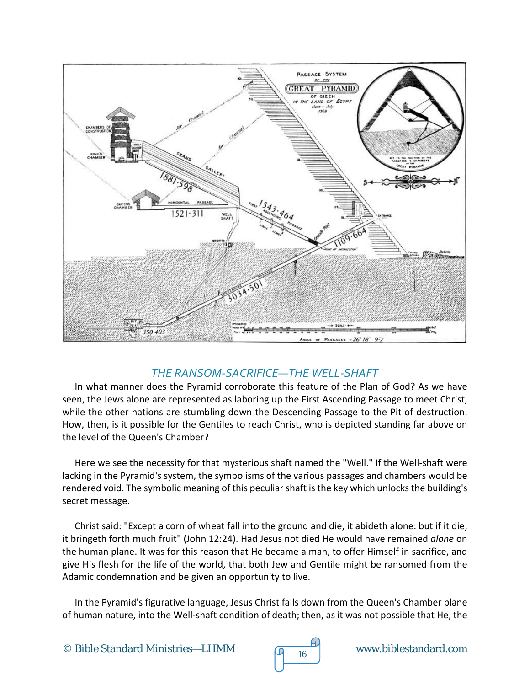

#### *THE RANSOM-SACRIFICE—THE WELL-SHAFT*

In what manner does the Pyramid corroborate this feature of the Plan of God? As we have seen, the Jews alone are represented as laboring up the First Ascending Passage to meet Christ, while the other nations are stumbling down the Descending Passage to the Pit of destruction. How, then, is it possible for the Gentiles to reach Christ, who is depicted standing far above on the level of the Queen's Chamber?

Here we see the necessity for that mysterious shaft named the "Well." If the Well-shaft were lacking in the Pyramid's system, the symbolisms of the various passages and chambers would be rendered void. The symbolic meaning of this peculiar shaft is the key which unlocks the building's secret message.

Christ said: "Except a corn of wheat fall into the ground and die, it abideth alone: but if it die, it bringeth forth much fruit" (John 12:24). Had Jesus not died He would have remained *alone* on the human plane. It was for this reason that He became a man, to offer Himself in sacrifice, and give His flesh for the life of the world, that both Jew and Gentile might be ransomed from the Adamic condemnation and be given an opportunity to live.

In the Pyramid's figurative language, Jesus Christ falls down from the Queen's Chamber plane of human nature, into the Well-shaft condition of death; then, as it was not possible that He, the

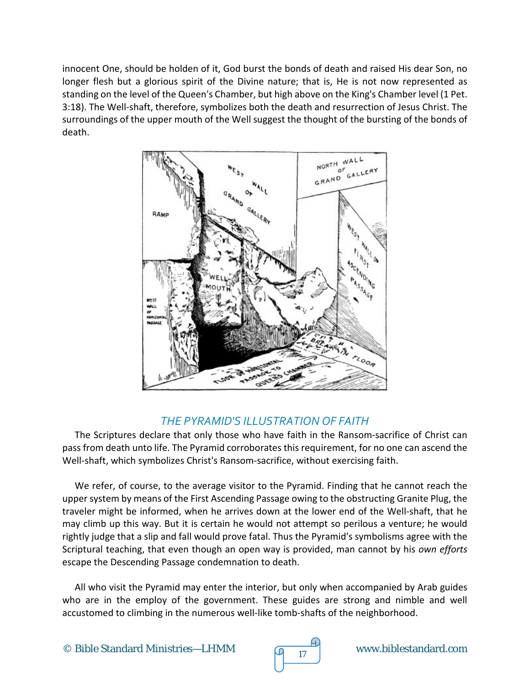innocent One, should be holden of it, God burst the bonds of death and raised His dear Son, no longer flesh but a glorious spirit of the Divine nature; that is, He is not now represented as standing on the level of the Queen's Chamber, but high above on the King's Chamber level (1 Pet. 3:18). The Well-shaft, therefore, symbolizes both the death and resurrection of Jesus Christ. The surroundings of the upper mouth of the Well suggest the thought of the bursting of the bonds of death.



# *THE PYRAMID'S ILLUSTRATION OF FAITH*

The Scriptures declare that only those who have faith in the Ransom-sacrifice of Christ can pass from death unto life. The Pyramid corroborates this requirement, for no one can ascend the Well-shaft, which symbolizes Christ's Ransom-sacrifice, without exercising faith.

We refer, of course, to the average visitor to the Pyramid. Finding that he cannot reach the upper system by means of the First Ascending Passage owing to the obstructing Granite Plug, the traveler might be informed, when he arrives down at the lower end of the Well-shaft, that he may climb up this way. But it is certain he would not attempt so perilous a venture; he would rightly judge that a slip and fall would prove fatal. Thus the Pyramid's symbolisms agree with the Scriptural teaching, that even though an open way is provided, man cannot by his *own efforts*  escape the Descending Passage condemnation to death.

All who visit the Pyramid may enter the interior, but only when accompanied by Arab guides who are in the employ of the government. These guides are strong and nimble and well accustomed to climbing in the numerous well-like tomb-shafts of the neighborhood.

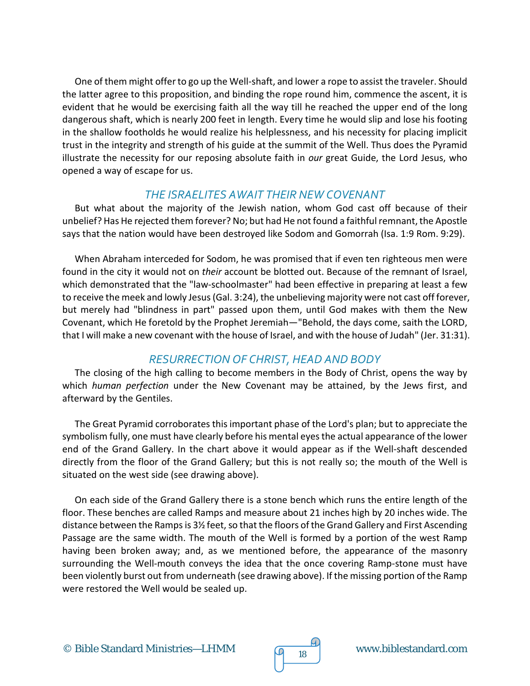One of them might offer to go up the Well-shaft, and lower a rope to assist the traveler. Should the latter agree to this proposition, and binding the rope round him, commence the ascent, it is evident that he would be exercising faith all the way till he reached the upper end of the long dangerous shaft, which is nearly 200 feet in length. Every time he would slip and lose his footing in the shallow footholds he would realize his helplessness, and his necessity for placing implicit trust in the integrity and strength of his guide at the summit of the Well. Thus does the Pyramid illustrate the necessity for our reposing absolute faith in *our* great Guide, the Lord Jesus, who opened a way of escape for us.

#### *THE ISRAELITES AWAIT THEIR NEW COVENANT*

But what about the majority of the Jewish nation, whom God cast off because of their unbelief? Has He rejected them forever? No; but had He not found a faithful remnant, the Apostle says that the nation would have been destroyed like Sodom and Gomorrah (Isa. 1:9 Rom. 9:29).

When Abraham interceded for Sodom, he was promised that if even ten righteous men were found in the city it would not on *their* account be blotted out. Because of the remnant of Israel, which demonstrated that the "law-schoolmaster" had been effective in preparing at least a few to receive the meek and lowly Jesus (Gal. 3:24), the unbelieving majority were not cast off forever, but merely had "blindness in part" passed upon them, until God makes with them the New Covenant, which He foretold by the Prophet Jeremiah—"Behold, the days come, saith the LORD, that I will make a new covenant with the house of Israel, and with the house of Judah" (Jer. 31:31).

#### *RESURRECTION OF CHRIST, HEAD AND BODY*

The closing of the high calling to become members in the Body of Christ, opens the way by which *human perfection* under the New Covenant may be attained, by the Jews first, and afterward by the Gentiles.

The Great Pyramid corroborates this important phase of the Lord's plan; but to appreciate the symbolism fully, one must have clearly before his mental eyes the actual appearance of the lower end of the Grand Gallery. In the chart above it would appear as if the Well-shaft descended directly from the floor of the Grand Gallery; but this is not really so; the mouth of the Well is situated on the west side (see drawing above).

On each side of the Grand Gallery there is a stone bench which runs the entire length of the floor. These benches are called Ramps and measure about 21 inches high by 20 inches wide. The distance between the Ramps is 3½ feet, so that the floors of the Grand Gallery and First Ascending Passage are the same width. The mouth of the Well is formed by a portion of the west Ramp having been broken away; and, as we mentioned before, the appearance of the masonry surrounding the Well-mouth conveys the idea that the once covering Ramp-stone must have been violently burst out from underneath (see drawing above). If the missing portion of the Ramp were restored the Well would be sealed up.

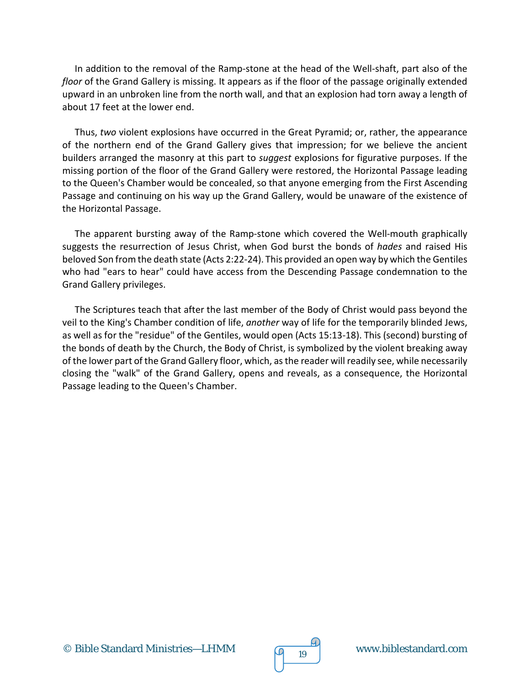In addition to the removal of the Ramp-stone at the head of the Well-shaft, part also of the *floor* of the Grand Gallery is missing. It appears as if the floor of the passage originally extended upward in an unbroken line from the north wall, and that an explosion had torn away a length of about 17 feet at the lower end.

Thus, *two* violent explosions have occurred in the Great Pyramid; or, rather, the appearance of the northern end of the Grand Gallery gives that impression; for we believe the ancient builders arranged the masonry at this part to *suggest* explosions for figurative purposes. If the missing portion of the floor of the Grand Gallery were restored, the Horizontal Passage leading to the Queen's Chamber would be concealed, so that anyone emerging from the First Ascending Passage and continuing on his way up the Grand Gallery, would be unaware of the existence of the Horizontal Passage.

The apparent bursting away of the Ramp-stone which covered the Well-mouth graphically suggests the resurrection of Jesus Christ, when God burst the bonds of *hades* and raised His beloved Son from the death state (Acts 2:22-24). This provided an open way by which the Gentiles who had "ears to hear" could have access from the Descending Passage condemnation to the Grand Gallery privileges.

The Scriptures teach that after the last member of the Body of Christ would pass beyond the veil to the King's Chamber condition of life, *another* way of life for the temporarily blinded Jews, as well as for the "residue" of the Gentiles, would open (Acts 15:13-18). This (second) bursting of the bonds of death by the Church, the Body of Christ, is symbolized by the violent breaking away of the lower part of the Grand Gallery floor, which, as the reader will readily see, while necessarily closing the "walk" of the Grand Gallery, opens and reveals, as a consequence, the Horizontal Passage leading to the Queen's Chamber.

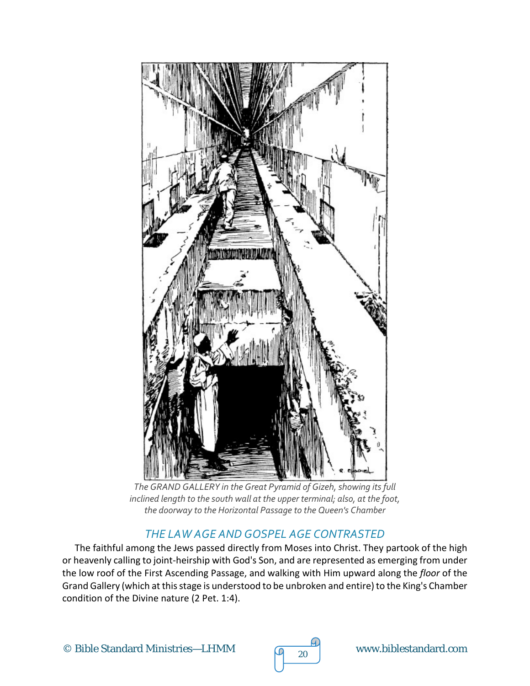

*The GRAND GALLERY in the Great Pyramid of Gizeh, showing its full inclined length to the south wall at the upper terminal; also, at the foot, the doorway to the Horizontal Passage to the Queen's Chamber*

### *THE LAW AGE AND GOSPEL AGE CONTRASTED*

The faithful among the Jews passed directly from Moses into Christ. They partook of the high or heavenly calling to joint-heirship with God's Son, and are represented as emerging from under the low roof of the First Ascending Passage, and walking with Him upward along the *floor* of the Grand Gallery (which at this stage is understood to be unbroken and entire) to the King's Chamber condition of the Divine nature (2 Pet. 1:4).

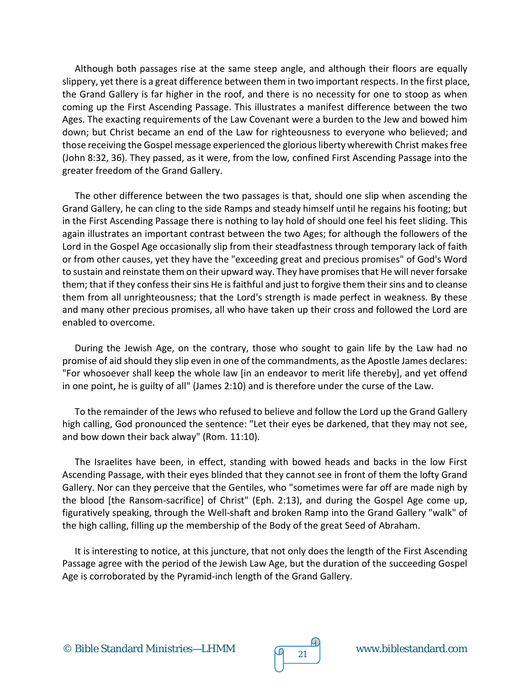Although both passages rise at the same steep angle, and although their floors are equally slippery, yet there is a great difference between them in two important respects. In the first place, the Grand Gallery is far higher in the roof, and there is no necessity for one to stoop as when coming up the First Ascending Passage. This illustrates a manifest difference between the two Ages. The exacting requirements of the Law Covenant were a burden to the Jew and bowed him down; but Christ became an end of the Law for righteousness to everyone who believed; and those receiving the Gospel message experienced the glorious liberty wherewith Christ makes free (John 8:32, 36). They passed, as it were, from the low*,* confined First Ascending Passage into the greater freedom of the Grand Gallery.

The other difference between the two passages is that, should one slip when ascending the Grand Gallery, he can cling to the side Ramps and steady himself until he regains his footing; but in the First Ascending Passage there is nothing to lay hold of should one feel his feet sliding. This again illustrates an important contrast between the two Ages; for although the followers of the Lord in the Gospel Age occasionally slip from their steadfastness through temporary lack of faith or from other causes, yet they have the "exceeding great and precious promises" of God's Word to sustain and reinstate them on their upward way. They have promises that He will never forsake them; that if they confess their sins He is faithful and just to forgive them their sins and to cleanse them from all unrighteousness; that the Lord's strength is made perfect in weakness. By these and many other precious promises, all who have taken up their cross and followed the Lord are enabled to overcome.

During the Jewish Age, on the contrary, those who sought to gain life by the Law had no promise of aid should they slip even in one of the commandments, as the Apostle James declares: "For whosoever shall keep the whole law [in an endeavor to merit life thereby], and yet offend in one point, he is guilty of all" (James 2:10) and is therefore under the curse of the Law.

To the remainder of the Jews who refused to believe and follow the Lord up the Grand Gallery high calling, God pronounced the sentence: "Let their eyes be darkened, that they may not see, and bow down their back alway" (Rom. 11:10).

The Israelites have been, in effect, standing with bowed heads and backs in the low First Ascending Passage, with their eyes blinded that they cannot see in front of them the lofty Grand Gallery. Nor can they perceive that the Gentiles, who "sometimes were far off are made nigh by the blood [the Ransom-sacrifice] of Christ" (Eph. 2:13), and during the Gospel Age come up, figuratively speaking, through the Well-shaft and broken Ramp into the Grand Gallery "walk" of the high calling, filling up the membership of the Body of the great Seed of Abraham.

It is interesting to notice, at this juncture, that not only does the length of the First Ascending Passage agree with the period of the Jewish Law Age, but the duration of the succeeding Gospel Age is corroborated by the Pyramid-inch length of the Grand Gallery.

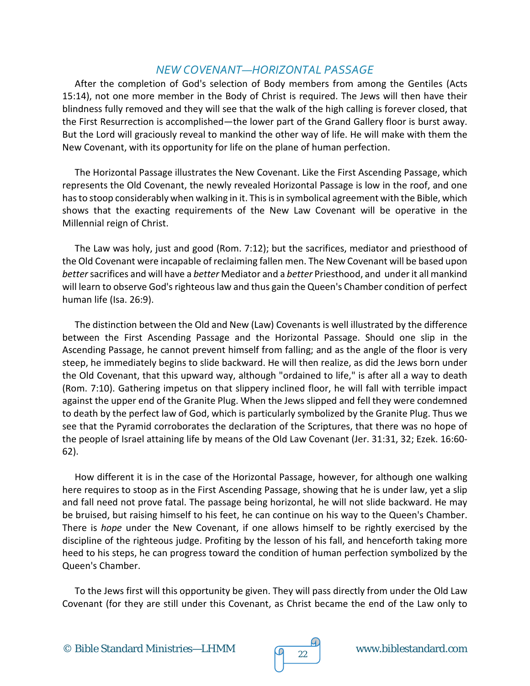#### *NEW COVENANT—HORIZONTAL PASSAGE*

After the completion of God's selection of Body members from among the Gentiles (Acts 15:14), not one more member in the Body of Christ is required. The Jews will then have their blindness fully removed and they will see that the walk of the high calling is forever closed, that the First Resurrection is accomplished—the lower part of the Grand Gallery floor is burst away. But the Lord will graciously reveal to mankind the other way of life. He will make with them the New Covenant, with its opportunity for life on the plane of human perfection.

The Horizontal Passage illustrates the New Covenant. Like the First Ascending Passage, which represents the Old Covenant, the newly revealed Horizontal Passage is low in the roof, and one has to stoop considerably when walking in it. This is in symbolical agreement with the Bible, which shows that the exacting requirements of the New Law Covenant will be operative in the Millennial reign of Christ.

The Law was holy, just and good (Rom. 7:12); but the sacrifices, mediator and priesthood of the Old Covenant were incapable of reclaiming fallen men. The New Covenant will be based upon *better* sacrifices and will have a *better* Mediator and a *better* Priesthood, and under it all mankind will learn to observe God's righteous law and thus gain the Queen's Chamber condition of perfect human life (Isa. 26:9).

The distinction between the Old and New (Law) Covenants is well illustrated by the difference between the First Ascending Passage and the Horizontal Passage. Should one slip in the Ascending Passage, he cannot prevent himself from falling; and as the angle of the floor is very steep, he immediately begins to slide backward. He will then realize, as did the Jews born under the Old Covenant, that this upward way, although "ordained to life," is after all a way to death (Rom. 7:10). Gathering impetus on that slippery inclined floor, he will fall with terrible impact against the upper end of the Granite Plug. When the Jews slipped and fell they were condemned to death by the perfect law of God, which is particularly symbolized by the Granite Plug. Thus we see that the Pyramid corroborates the declaration of the Scriptures, that there was no hope of the people of Israel attaining life by means of the Old Law Covenant (Jer. 31:31, 32; Ezek. 16:60- 62).

How different it is in the case of the Horizontal Passage, however, for although one walking here requires to stoop as in the First Ascending Passage, showing that he is under law, yet a slip and fall need not prove fatal. The passage being horizontal, he will not slide backward. He may be bruised, but raising himself to his feet, he can continue on his way to the Queen's Chamber. There is *hope* under the New Covenant, if one allows himself to be rightly exercised by the discipline of the righteous judge. Profiting by the lesson of his fall, and henceforth taking more heed to his steps, he can progress toward the condition of human perfection symbolized by the Queen's Chamber.

To the Jews first will this opportunity be given. They will pass directly from under the Old Law Covenant (for they are still under this Covenant, as Christ became the end of the Law only to

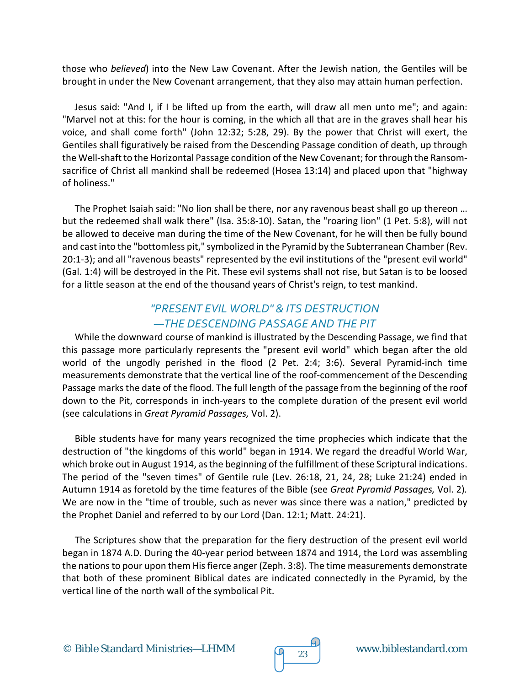those who *believed*) into the New Law Covenant. After the Jewish nation, the Gentiles will be brought in under the New Covenant arrangement, that they also may attain human perfection.

Jesus said: "And I, if I be lifted up from the earth, will draw all men unto me"; and again: "Marvel not at this: for the hour is coming, in the which all that are in the graves shall hear his voice, and shall come forth" (John 12:32; 5:28, 29). By the power that Christ will exert, the Gentiles shall figuratively be raised from the Descending Passage condition of death, up through the Well-shaft to the Horizontal Passage condition of the New Covenant; for through the Ransomsacrifice of Christ all mankind shall be redeemed (Hosea 13:14) and placed upon that "highway of holiness."

The Prophet Isaiah said: "No lion shall be there, nor any ravenous beast shall go up thereon … but the redeemed shall walk there" (Isa. 35:8-10). Satan, the "roaring lion" (1 Pet. 5:8), will not be allowed to deceive man during the time of the New Covenant, for he will then be fully bound and cast into the "bottomless pit," symbolized in the Pyramid by the Subterranean Chamber (Rev. 20:1-3); and all "ravenous beasts" represented by the evil institutions of the "present evil world" (Gal. 1:4) will be destroyed in the Pit. These evil systems shall not rise, but Satan is to be loosed for a little season at the end of the thousand years of Christ's reign, to test mankind.

#### *"PRESENT EVIL WORLD" & ITS DESTRUCTION —THE DESCENDING PASSAGE AND THE PIT*

While the downward course of mankind is illustrated by the Descending Passage, we find that this passage more particularly represents the "present evil world" which began after the old world of the ungodly perished in the flood (2 Pet. 2:4; 3:6). Several Pyramid-inch time measurements demonstrate that the vertical line of the roof-commencement of the Descending Passage marks the date of the flood. The full length of the passage from the beginning of the roof down to the Pit, corresponds in inch-years to the complete duration of the present evil world (see calculations in *Great Pyramid Passages,* Vol. 2).

Bible students have for many years recognized the time prophecies which indicate that the destruction of "the kingdoms of this world" began in 1914. We regard the dreadful World War, which broke out in August 1914, as the beginning of the fulfillment of these Scriptural indications. The period of the "seven times" of Gentile rule (Lev. 26:18, 21, 24, 28; Luke 21:24) ended in Autumn 1914 as foretold by the time features of the Bible (see *Great Pyramid Passages,* Vol. 2)*.*  We are now in the "time of trouble, such as never was since there was a nation," predicted by the Prophet Daniel and referred to by our Lord (Dan. 12:1; Matt. 24:21).

The Scriptures show that the preparation for the fiery destruction of the present evil world began in 1874 A.D. During the 40-year period between 1874 and 1914, the Lord was assembling the nations to pour upon them His fierce anger (Zeph. 3:8). The time measurements demonstrate that both of these prominent Biblical dates are indicated connectedly in the Pyramid, by the vertical line of the north wall of the symbolical Pit.

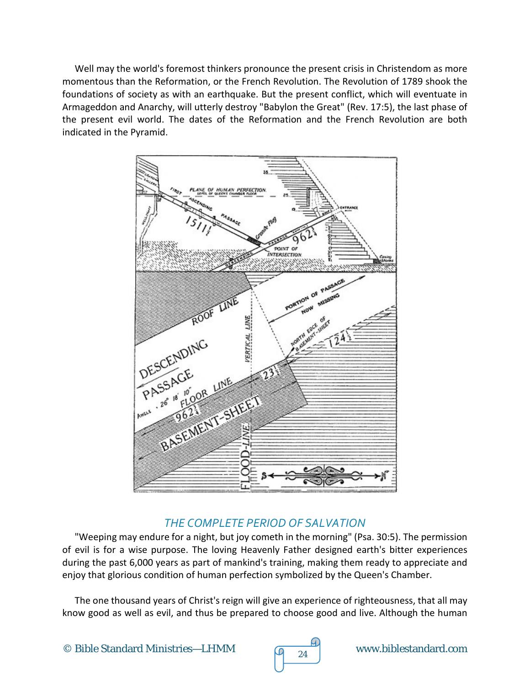Well may the world's foremost thinkers pronounce the present crisis in Christendom as more momentous than the Reformation, or the French Revolution. The Revolution of 1789 shook the foundations of society as with an earthquake. But the present conflict, which will eventuate in Armageddon and Anarchy, will utterly destroy "Babylon the Great" (Rev. 17:5), the last phase of the present evil world. The dates of the Reformation and the French Revolution are both indicated in the Pyramid.



### *THE COMPLETE PERIOD OF SALVATION*

"Weeping may endure for a night, but joy cometh in the morning" (Psa. 30:5). The permission of evil is for a wise purpose. The loving Heavenly Father designed earth's bitter experiences during the past 6,000 years as part of mankind's training, making them ready to appreciate and enjoy that glorious condition of human perfection symbolized by the Queen's Chamber.

The one thousand years of Christ's reign will give an experience of righteousness, that all may know good as well as evil, and thus be prepared to choose good and live. Although the human

![](_page_23_Picture_6.jpeg)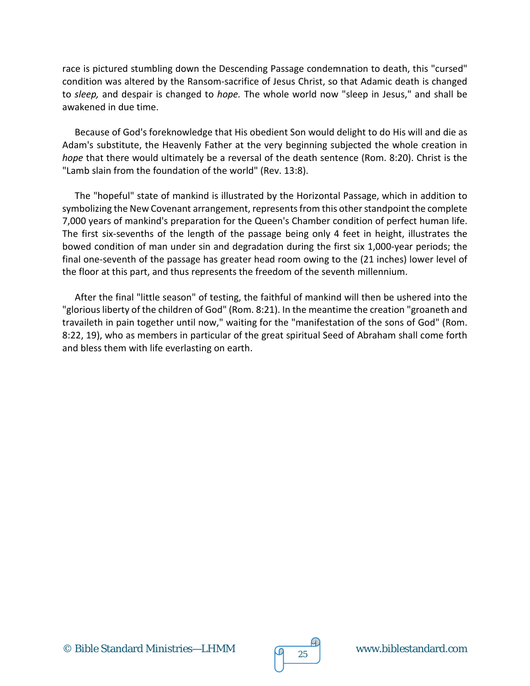race is pictured stumbling down the Descending Passage condemnation to death, this "cursed" condition was altered by the Ransom-sacrifice of Jesus Christ, so that Adamic death is changed to *sleep,* and despair is changed to *hope.* The whole world now "sleep in Jesus," and shall be awakened in due time.

Because of God's foreknowledge that His obedient Son would delight to do His will and die as Adam's substitute, the Heavenly Father at the very beginning subjected the whole creation in *hope* that there would ultimately be a reversal of the death sentence (Rom. 8:20). Christ is the "Lamb slain from the foundation of the world" (Rev. 13:8).

The "hopeful" state of mankind is illustrated by the Horizontal Passage, which in addition to symbolizing the New Covenant arrangement, represents from this other standpoint the complete 7,000 years of mankind's preparation for the Queen's Chamber condition of perfect human life. The first six-sevenths of the length of the passage being only 4 feet in height, illustrates the bowed condition of man under sin and degradation during the first six 1,000-year periods; the final one-seventh of the passage has greater head room owing to the (21 inches) lower level of the floor at this part, and thus represents the freedom of the seventh millennium.

After the final "little season" of testing, the faithful of mankind will then be ushered into the "glorious liberty of the children of God" (Rom. 8:21). In the meantime the creation "groaneth and travaileth in pain together until now," waiting for the "manifestation of the sons of God" (Rom. 8:22, 19), who as members in particular of the great spiritual Seed of Abraham shall come forth and bless them with life everlasting on earth.

![](_page_24_Figure_5.jpeg)

![](_page_24_Picture_6.jpeg)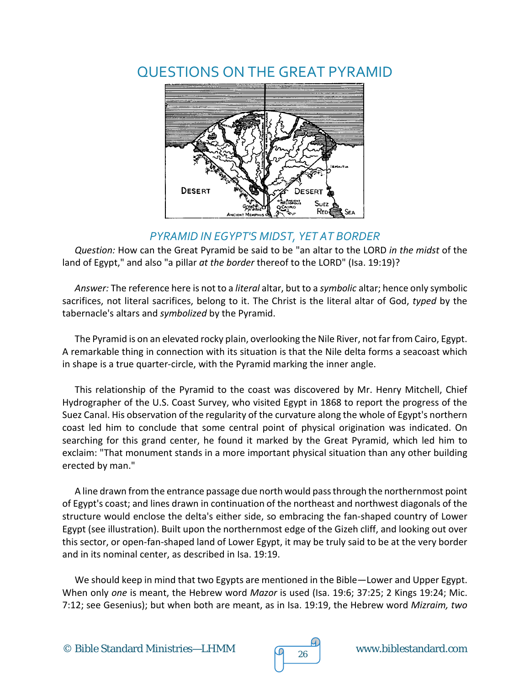# QUESTIONS ON THE GREAT PYRAMID

![](_page_25_Figure_1.jpeg)

#### *PYRAMID IN EGYPT'S MIDST, YET AT BORDER*

*Question:* How can the Great Pyramid be said to be "an altar to the LORD *in the midst* of the land of Egypt," and also "a pillar *at the border* thereof to the LORD" (Isa. 19:19)?

*Answer:* The reference here is not to a *literal* altar, but to a *symbolic* altar; hence only symbolic sacrifices, not literal sacrifices, belong to it. The Christ is the literal altar of God, *typed* by the tabernacle's altars and *symbolized* by the Pyramid.

The Pyramid is on an elevated rocky plain, overlooking the Nile River, not far from Cairo, Egypt. A remarkable thing in connection with its situation is that the Nile delta forms a seacoast which in shape is a true quarter-circle, with the Pyramid marking the inner angle.

This relationship of the Pyramid to the coast was discovered by Mr. Henry Mitchell, Chief Hydrographer of the U.S. Coast Survey, who visited Egypt in 1868 to report the progress of the Suez Canal. His observation of the regularity of the curvature along the whole of Egypt's northern coast led him to conclude that some central point of physical origination was indicated. On searching for this grand center, he found it marked by the Great Pyramid, which led him to exclaim: "That monument stands in a more important physical situation than any other building erected by man."

A line drawn from the entrance passage due north would pass through the northernmost point of Egypt's coast; and lines drawn in continuation of the northeast and northwest diagonals of the structure would enclose the delta's either side, so embracing the fan-shaped country of Lower Egypt (see illustration). Built upon the northernmost edge of the Gizeh cliff, and looking out over this sector, or open-fan-shaped land of Lower Egypt, it may be truly said to be at the very border and in its nominal center, as described in Isa. 19:19.

We should keep in mind that two Egypts are mentioned in the Bible—Lower and Upper Egypt. When only *one* is meant, the Hebrew word *Mazor* is used (Isa. 19:6; 37:25; 2 Kings 19:24; Mic. 7:12; see Gesenius); but when both are meant, as in Isa. 19:19, the Hebrew word *Mizraim, two* 

![](_page_25_Picture_10.jpeg)

![](_page_25_Picture_11.jpeg)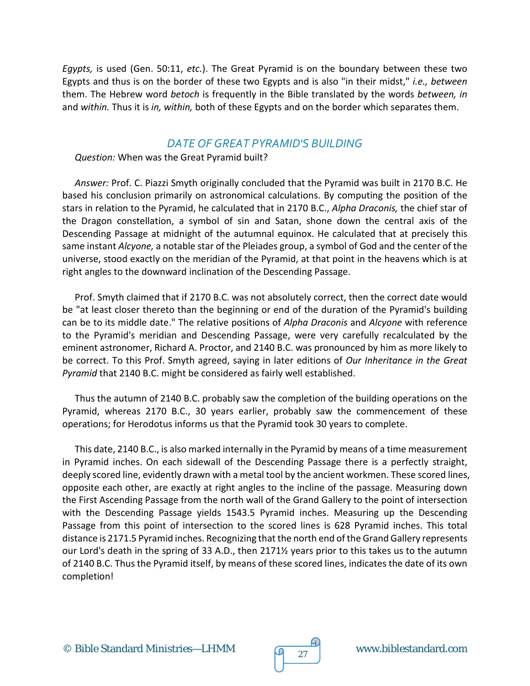*Egypts,* is used (Gen. 50:11, *etc.*). The Great Pyramid is on the boundary between these two Egypts and thus is on the border of these two Egypts and is also "in their midst," *i.e., between*  them. The Hebrew word *betoch* is frequently in the Bible translated by the words *between, in*  and *within.* Thus it is *in, within,* both of these Egypts and on the border which separates them.

#### *DATE OF GREAT PYRAMID'S BUILDING*

*Question:* When was the Great Pyramid built?

*Answer:* Prof. C. Piazzi Smyth originally concluded that the Pyramid was built in 2170 B.C. He based his conclusion primarily on astronomical calculations. By computing the position of the stars in relation to the Pyramid, he calculated that in 2170 B.C., *Alpha Draconis,* the chief star of the Dragon constellation, a symbol of sin and Satan, shone down the central axis of the Descending Passage at midnight of the autumnal equinox. He calculated that at precisely this same instant *Alcyone,* a notable star of the Pleiades group, a symbol of God and the center of the universe, stood exactly on the meridian of the Pyramid, at that point in the heavens which is at right angles to the downward inclination of the Descending Passage.

Prof. Smyth claimed that if 2170 B.C. was not absolutely correct, then the correct date would be "at least closer thereto than the beginning or end of the duration of the Pyramid's building can be to its middle date." The relative positions of *Alpha Draconis* and *Alcyone* with reference to the Pyramid's meridian and Descending Passage, were very carefully recalculated by the eminent astronomer, Richard A. Proctor, and 2140 B.C. was pronounced by him as more likely to be correct. To this Prof. Smyth agreed, saying in later editions of *Our Inheritance in the Great Pyramid* that 2140 B.C. might be considered as fairly well established.

Thus the autumn of 2140 B.C. probably saw the completion of the building operations on the Pyramid, whereas 2170 B.C., 30 years earlier, probably saw the commencement of these operations; for Herodotus informs us that the Pyramid took 30 years to complete.

This date, 2140 B.C., is also marked internally in the Pyramid by means of a time measurement in Pyramid inches. On each sidewall of the Descending Passage there is a perfectly straight, deeply scored line, evidently drawn with a metal tool by the ancient workmen. These scored lines, opposite each other, are exactly at right angles to the incline of the passage. Measuring down the First Ascending Passage from the north wall of the Grand Gallery to the point of intersection with the Descending Passage yields 1543.5 Pyramid inches. Measuring up the Descending Passage from this point of intersection to the scored lines is 628 Pyramid inches. This total distance is 2171.5 Pyramid inches. Recognizing that the north end of the Grand Gallery represents our Lord's death in the spring of 33 A.D., then 2171½ years prior to this takes us to the autumn of 2140 B.C. Thus the Pyramid itself, by means of these scored lines, indicates the date of its own completion!

![](_page_26_Figure_8.jpeg)

![](_page_26_Picture_9.jpeg)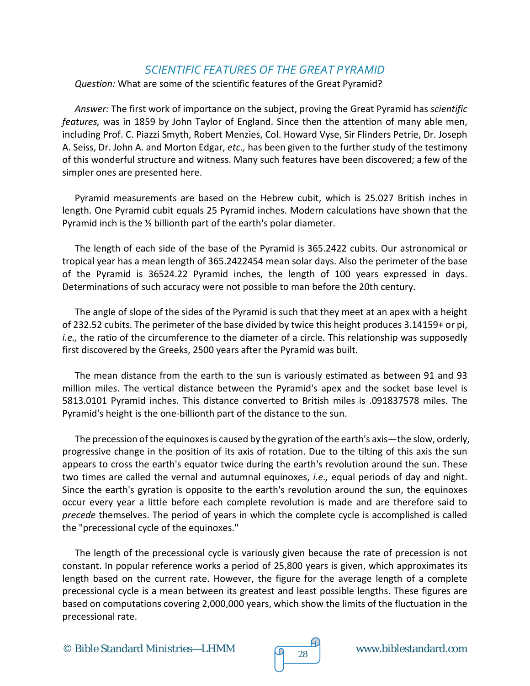#### *SCIENTIFIC FEATURES OF THE GREAT PYRAMID*

*Question:* What are some of the scientific features of the Great Pyramid?

*Answer:* The first work of importance on the subject, proving the Great Pyramid has *scientific features,* was in 1859 by John Taylor of England. Since then the attention of many able men, including Prof. C. Piazzi Smyth, Robert Menzies, Col. Howard Vyse, Sir Flinders Petrie, Dr. Joseph A. Seiss, Dr. John A. and Morton Edgar, *etc.,* has been given to the further study of the testimony of this wonderful structure and witness. Many such features have been discovered; a few of the simpler ones are presented here.

Pyramid measurements are based on the Hebrew cubit, which is 25.027 British inches in length. One Pyramid cubit equals 25 Pyramid inches. Modern calculations have shown that the Pyramid inch is the ½ billionth part of the earth's polar diameter.

The length of each side of the base of the Pyramid is 365.2422 cubits. Our astronomical or tropical year has a mean length of 365.2422454 mean solar days. Also the perimeter of the base of the Pyramid is 36524.22 Pyramid inches, the length of 100 years expressed in days. Determinations of such accuracy were not possible to man before the 20th century.

The angle of slope of the sides of the Pyramid is such that they meet at an apex with a height of 232.52 cubits. The perimeter of the base divided by twice this height produces 3.14159+ or pi, *i.e.*, the ratio of the circumference to the diameter of a circle. This relationship was supposedly first discovered by the Greeks, 2500 years after the Pyramid was built.

The mean distance from the earth to the sun is variously estimated as between 91 and 93 million miles. The vertical distance between the Pyramid's apex and the socket base level is 5813.0101 Pyramid inches. This distance converted to British miles is .091837578 miles. The Pyramid's height is the one-billionth part of the distance to the sun.

The precession of the equinoxes is caused by the gyration of the earth's axis—the slow, orderly, progressive change in the position of its axis of rotation. Due to the tilting of this axis the sun appears to cross the earth's equator twice during the earth's revolution around the sun. These two times are called the vernal and autumnal equinoxes, *i.e.,* equal periods of day and night. Since the earth's gyration is opposite to the earth's revolution around the sun, the equinoxes occur every year a little before each complete revolution is made and are therefore said to *precede* themselves. The period of years in which the complete cycle is accomplished is called the "precessional cycle of the equinoxes."

The length of the precessional cycle is variously given because the rate of precession is not constant. In popular reference works a period of 25,800 years is given, which approximates its length based on the current rate. However, the figure for the average length of a complete precessional cycle is a mean between its greatest and least possible lengths. These figures are based on computations covering 2,000,000 years, which show the limits of the fluctuation in the precessional rate.

![](_page_27_Picture_10.jpeg)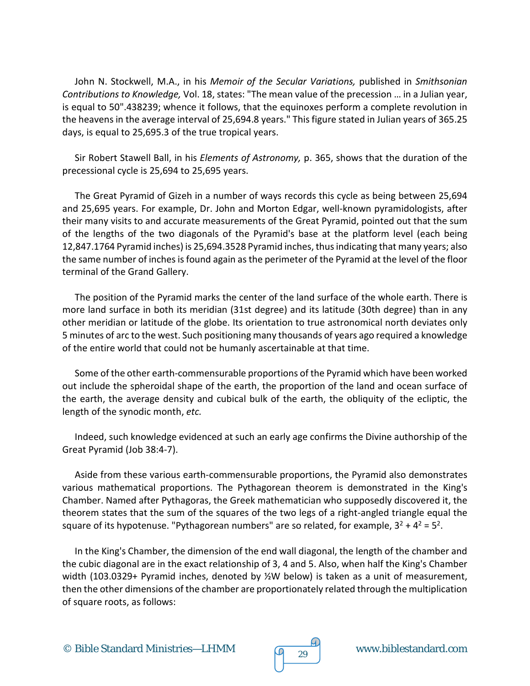John N. Stockwell, M.A., in his *Memoir of the Secular Variations,* published in *Smithsonian Contributions to Knowledge,* Vol. 18, states: "The mean value of the precession … in a Julian year, is equal to 50".438239; whence it follows, that the equinoxes perform a complete revolution in the heavens in the average interval of 25,694.8 years." This figure stated in Julian years of 365.25 days, is equal to 25,695.3 of the true tropical years.

Sir Robert Stawell Ball, in his *Elements of Astronomy,* p. 365, shows that the duration of the precessional cycle is 25,694 to 25,695 years.

The Great Pyramid of Gizeh in a number of ways records this cycle as being between 25,694 and 25,695 years. For example, Dr. John and Morton Edgar, well-known pyramidologists, after their many visits to and accurate measurements of the Great Pyramid, pointed out that the sum of the lengths of the two diagonals of the Pyramid's base at the platform level (each being 12,847.1764 Pyramid inches) is 25,694.3528 Pyramid inches, thus indicating that many years; also the same number of inches is found again as the perimeter of the Pyramid at the level of the floor terminal of the Grand Gallery.

The position of the Pyramid marks the center of the land surface of the whole earth. There is more land surface in both its meridian (31st degree) and its latitude (30th degree) than in any other meridian or latitude of the globe. Its orientation to true astronomical north deviates only 5 minutes of arc to the west. Such positioning many thousands of years ago required a knowledge of the entire world that could not be humanly ascertainable at that time.

Some of the other earth-commensurable proportions of the Pyramid which have been worked out include the spheroidal shape of the earth, the proportion of the land and ocean surface of the earth, the average density and cubical bulk of the earth, the obliquity of the ecliptic, the length of the synodic month, *etc.*

Indeed, such knowledge evidenced at such an early age confirms the Divine authorship of the Great Pyramid (Job 38:4-7).

Aside from these various earth-commensurable proportions, the Pyramid also demonstrates various mathematical proportions. The Pythagorean theorem is demonstrated in the King's Chamber. Named after Pythagoras, the Greek mathematician who supposedly discovered it, the theorem states that the sum of the squares of the two legs of a right-angled triangle equal the square of its hypotenuse. "Pythagorean numbers" are so related, for example,  $3^2 + 4^2 = 5^2$ .

In the King's Chamber, the dimension of the end wall diagonal, the length of the chamber and the cubic diagonal are in the exact relationship of 3, 4 and 5. Also, when half the King's Chamber width (103.0329+ Pyramid inches, denoted by ½W below) is taken as a unit of measurement, then the other dimensions of the chamber are proportionately related through the multiplication of square roots, as follows:

![](_page_28_Picture_9.jpeg)